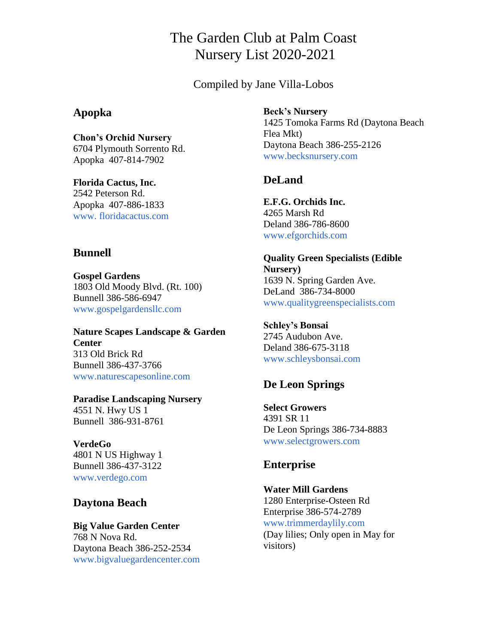# The Garden Club at Palm Coast Nursery List 2020-2021

Compiled by Jane Villa-Lobos

#### **Apopka**

**Chon's Orchid Nursery** 6704 Plymouth Sorrento Rd. Apopka 407-814-7902

**Florida Cactus, Inc.** 2542 Peterson Rd. Apopka 407-886-1833 [www. floridacactus.com](http://www.floridacactus.com/)

### **Bunnell**

**Gospel Gardens** 1803 Old Moody Blvd. (Rt. 100) Bunnell 386-586-6947 [www.gospelgardensllc.com](http://www.gospelgardensllc.com/)

**Nature Scapes Landscape & Garden Center** 313 Old Brick Rd Bunnell 386-437-3766 [www.naturescapesonline.com](http://www.naturescapesonline.com/)

**Paradise Landscaping Nursery** 4551 N. Hwy US 1 Bunnell 386-931-8761

**VerdeGo** 4801 N US Highway 1 Bunnell 386-437-3122 [www.verdego.com](http://www.verdego.com/)

# **Daytona Beach**

**Big Value Garden Center** 768 N Nova Rd. Daytona Beach 386-252-2534 [www.bigvaluegardencenter.com](http://www.bigvaluegardencenter.com/) **Beck's Nursery**

1425 Tomoka Farms Rd (Daytona Beach Flea Mkt) Daytona Beach 386-255-2126 [www.becksnursery.com](http://www.butchersnursery.com/)

# **DeLand**

**E.F.G. Orchids Inc.** 4265 Marsh Rd Deland 386-786-8600 [www.efgorchids.com](http://www.efgorchids.com/)

**Quality Green Specialists (Edible Nursery)** 1639 N. Spring Garden Ave. DeLand 386-734-8000 [www.qualitygreenspecialists.com](mailto:mailt:www.qualitygreenspecialists.com)

**Schley's Bonsai**  2745 Audubon Ave. Deland 386-675-3118 [www.schleysbonsai.com](http://www.schleysbonsai.com/)

# **De Leon Springs**

**Select Growers** 4391 SR 11 De Leon Springs 386-734-8883 [www.selectgrowers.com](http://www.selectgrowers.com/)

### **Enterprise**

**Water Mill Gardens** 1280 Enterprise-Osteen Rd Enterprise 386-574-2789 [www.trimmerdaylily.com](http://www.trimmerdaylily.com/) (Day lilies; Only open in May for visitors)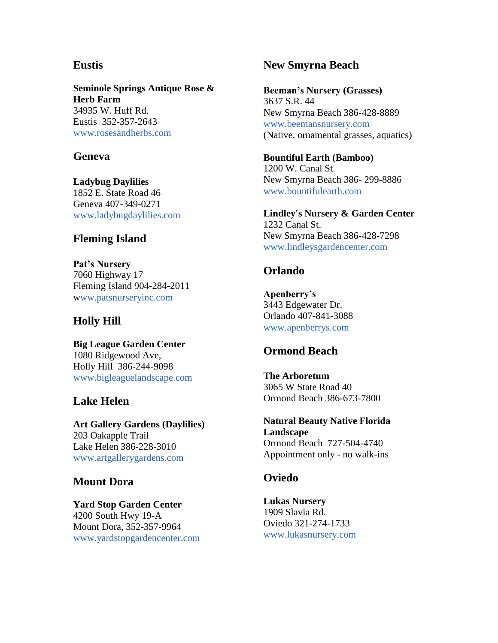### **Eustis**

**Seminole Springs Antique Rose & Herb Farm** 34935 W. Huff Rd. Eustis 352-357-2643 [www.rosesandherbs.com](http://www.rosesandherbs.com/)

#### **Geneva**

**Ladybug Daylilies** 1852 E. State Road 46 Geneva 407-349-0271 [www.ladybugdaylilies.com](http://www.ladybugdaylilies.com/)

#### **Fleming Island**

**Pat's Nursery** 7060 Highway 17 Fleming Island 904-284-2011 [www.patsnurseryinc.com](http://www.patsnursery.com/)

### **Holly Hill**

**Big League Garden Center** 1080 Ridgewood Ave, Holly Hill 386-244-9098 [www.bigleaguelandscape.com](http://www.bigleaguelandscape.com/)

### **Lake Helen**

**Art Gallery Gardens (Daylilies)** 203 Oakapple Trail Lake Helen 386-228-3010 [www.artgallerygardens.com](http://www.artgallerygardens.com/)

### **Mount Dora**

**Yard Stop Garden Center** 4200 South Hwy 19-A Mount Dora, 352-357-9964 [www.yardstopgardencenter.com](mailto:www.yardstopgardencenter.com)

### **New Smyrna Beach**

**Beeman's Nursery (Grasses)** 3637 S.R. 44 New Smyrna Beach 386-428-8889 [www.beemansnursery.com](http://www.beemansnursery.com/) (Native, ornamental grasses, aquatics)

**Bountiful Earth (Bamboo)** 1200 W. Canal St. New Smyrna Beach 386- 299-8886 [www.bountifulearth.com](http://www.bountifulearth.com/)

**Lindley's Nursery & Garden Center** 1232 Canal St. New Smyrna Beach 386-428-7298 [www.lindleysgardencenter.com](http://www.lindleysgardencenter.com/)

#### **Orlando**

**Apenberry's** 3443 Edgewater Dr. Orlando 407-841-3088 [www.apenberrys.com](http://www.apenberrys.com/)

### **Ormond Beach**

**The Arboretum** 3065 W State Road 40 Ormond Beach 386-673-7800

**Natural Beauty Native Florida Landscape** Ormond Beach 727-504-4740 Appointment only - no walk-ins

#### **Oviedo**

**Lukas Nursery** 1909 Slavia Rd. Oviedo 321-274-1733 [www.lukasnursery.com](mailto:www.lukasnursery.com)